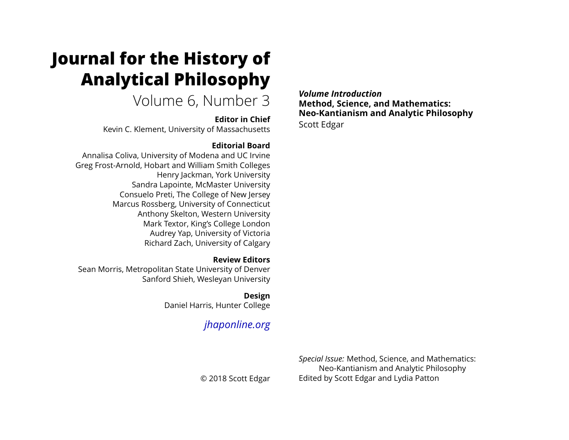# **Journal for the History of Analytical Philosophy**

## Volume 6, Number 3

### **Editor in Chief**

Kevin C. Klement, University of Massachusetts

### **Editorial Board**

Annalisa Coliva, University of Modena and UC Irvine Greg Frost-Arnold, Hobart and William Smith Colleges Henry Jackman, York University Sandra Lapointe, McMaster University Consuelo Preti, The College of New Jersey Marcus Rossberg, University of Connecticut Anthony Skelton, Western University Mark Textor, King's College London Audrey Yap, University of Victoria Richard Zach, University of Calgary

### **Review Editors**

Sean Morris, Metropolitan State University of Denver Sanford Shieh, Wesleyan University

### **Design**

Daniel Harris, Hunter College

### *[jhaponline.org](https://jhaponline.org)*

*Volume Introduction* **Method, Science, and Mathematics: Neo-Kantianism and Analytic Philosophy** Scott Edgar

*Special Issue:* Method, Science, and Mathematics: Neo-Kantianism and Analytic Philosophy Edited by Scott Edgar and Lydia Patton

© 2018 Scott Edgar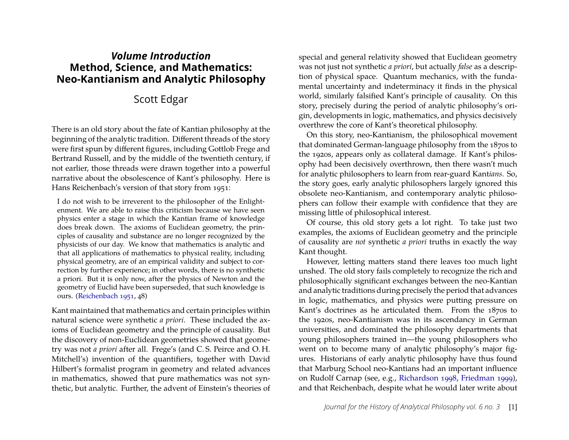### *Volume Introduction* **Method, Science, and Mathematics: Neo-Kantianism and Analytic Philosophy**

### Scott Edgar

There is an old story about the fate of Kantian philosophy at the beginning of the analytic tradition. Different threads of the story were first spun by different figures, including Gottlob Frege and Bertrand Russell, and by the middle of the twentieth century, if not earlier, those threads were drawn together into a powerful narrative about the obsolescence of Kant's philosophy. Here is Hans Reichenbach's version of that story from 1951:

I do not wish to be irreverent to the philosopher of the Enlightenment. We are able to raise this criticism because we have seen physics enter a stage in which the Kantian frame of knowledge does break down. The axioms of Euclidean geometry, the principles of causality and substance are no longer recognized by the physicists of our day. We know that mathematics is analytic and that all applications of mathematics to physical reality, including physical geometry, are of an empirical validity and subject to correction by further experience; in other words, there is no synthetic a priori. But it is only now, after the physics of Newton and the geometry of Euclid have been superseded, that such knowledge is ours. [\(Reichenbach 1951,](#page-10-0) 48)

Kant maintained that mathematics and certain principles within natural science were synthetic *a priori*. These included the axioms of Euclidean geometry and the principle of causality. But the discovery of non-Euclidean geometries showed that geometry was not *a priori* after all. Frege's (and C. S. Peirce and O. H. Mitchell's) invention of the quantifiers, together with David Hilbert's formalist program in geometry and related advances in mathematics, showed that pure mathematics was not synthetic, but analytic. Further, the advent of Einstein's theories of special and general relativity showed that Euclidean geometry was not just not synthetic *a priori*, but actually *false* as a description of physical space. Quantum mechanics, with the fundamental uncertainty and indeterminacy it finds in the physical world, similarly falsified Kant's principle of causality. On this story, precisely during the period of analytic philosophy's origin, developments in logic, mathematics, and physics decisively overthrew the core of Kant's theoretical philosophy.

On this story, neo-Kantianism, the philosophical movement that dominated German-language philosophy from the 1870s to the 1920s, appears only as collateral damage. If Kant's philosophy had been decisively overthrown, then there wasn't much for analytic philosophers to learn from rear-guard Kant*ians*. So, the story goes, early analytic philosophers largely ignored this obsolete neo-Kantianism, and contemporary analytic philosophers can follow their example with confidence that they are missing little of philosophical interest.

Of course, this old story gets a lot right. To take just two examples, the axioms of Euclidean geometry and the principle of causality are *not* synthetic *a priori* truths in exactly the way Kant thought.

However, letting matters stand there leaves too much light unshed. The old story fails completely to recognize the rich and philosophically significant exchanges between the neo-Kantian and analytic traditions during precisely the period that advances in logic, mathematics, and physics were putting pressure on Kant's doctrines as he articulated them. From the 1870s to the 1920s, neo-Kantianism was in its ascendancy in German universities, and dominated the philosophy departments that young philosophers trained in—the young philosophers who went on to become many of analytic philosophy's major figures. Historians of early analytic philosophy have thus found that Marburg School neo-Kantians had an important influence on Rudolf Carnap (see, e.g., [Richardson 1998,](#page-10-1) [Friedman 1999\)](#page-9-0), and that Reichenbach, despite what he would later write about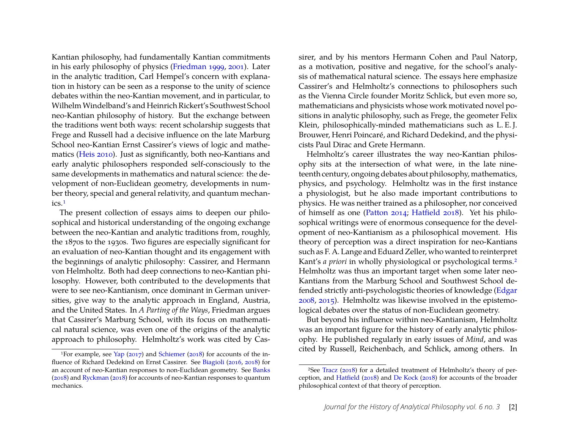Kantian philosophy, had fundamentally Kantian commitments in his early philosophy of physics [\(Friedman 1999,](#page-9-0) [2001\)](#page-10-2). Later in the analytic tradition, Carl Hempel's concern with explanation in history can be seen as a response to the unity of science debates within the neo-Kantian movement, and in particular, to WilhelmWindelband's and Heinrich Rickert's Southwest School neo-Kantian philosophy of history. But the exchange between the traditions went both ways: recent scholarship suggests that Frege and Russell had a decisive influence on the late Marburg School neo-Kantian Ernst Cassirer's views of logic and mathematics [\(Heis 2010\)](#page-10-3). Just as significantly, both neo-Kantians and early analytic philosophers responded self-consciously to the same developments in mathematics and natural science: the development of non-Euclidean geometry, developments in number theory, special and general relativity, and quantum mechanics.[1](#page-2-0)

The present collection of essays aims to deepen our philosophical and historical understanding of the ongoing exchange between the neo-Kantian and analytic traditions from, roughly, the 1870s to the 1930s. Two figures are especially significant for an evaluation of neo-Kantian thought and its engagement with the beginnings of analytic philosophy: Cassirer, and Hermann von Helmholtz. Both had deep connections to neo-Kantian philosophy. However, both contributed to the developments that were to see neo-Kantianism, once dominant in German universities, give way to the analytic approach in England, Austria, and the United States. In *A Parting of the Ways*, Friedman argues that Cassirer's Marburg School, with its focus on mathematical natural science, was even one of the origins of the analytic approach to philosophy. Helmholtz's work was cited by Cas-

sirer, and by his mentors Hermann Cohen and Paul Natorp, as a motivation, positive and negative, for the school's analysis of mathematical natural science. The essays here emphasize Cassirer's and Helmholtz's connections to philosophers such as the Vienna Circle founder Moritz Schlick, but even more so, mathematicians and physicists whose work motivated novel positions in analytic philosophy, such as Frege, the geometer Felix Klein, philosophically-minded mathematicians such as L. E. J. Brouwer, Henri Poincaré, and Richard Dedekind, and the physicists Paul Dirac and Grete Hermann.

Helmholtz's career illustrates the way neo-Kantian philosophy sits at the intersection of what were, in the late nineteenth century, ongoing debates about philosophy, mathematics, physics, and psychology. Helmholtz was in the first instance a physiologist, but he also made important contributions to physics. He was neither trained as a philosopher, nor conceived of himself as one [\(Patton 2014;](#page-10-7) [Hatfield 2018\)](#page-10-8). Yet his philosophical writings were of enormous consequence for the development of neo-Kantianism as a philosophical movement. His theory of perception was a direct inspiration for neo-Kantians such as F. A. Lange and Eduard Zeller, who wanted to reinterpret Kant's *a priori* in wholly physiological or psychological terms.[2](#page-2-1) Helmholtz was thus an important target when some later neo-Kantians from the Marburg School and Southwest School defended strictly anti-psychologistic theories of knowledge [\(Edgar](#page-9-4) [2008,](#page-9-4) [2015\)](#page-9-5). Helmholtz was likewise involved in the epistemological debates over the status of non-Euclidean geometry.

But beyond his influence within neo-Kantianism, Helmholtz was an important figure for the history of early analytic philosophy. He published regularly in early issues of *Mind*, and was cited by Russell, Reichenbach, and Schlick, among others. In

<span id="page-2-0"></span><sup>1</sup>For example, see [Yap](#page-10-4) [\(2017\)](#page-10-4) and [Schiemer](#page-10-5) [\(2018\)](#page-10-5) for accounts of the influence of Richard Dedekind on Ernst Cassirer. See [Biagioli](#page-9-1) [\(2016,](#page-9-1) [2018\)](#page-9-2) for an account of neo-Kantian responses to non-Euclidean geometry. See [Banks](#page-9-3) [\(2018\)](#page-9-3) and [Ryckman](#page-10-6) [\(2018\)](#page-10-6) for accounts of neo-Kantian responses to quantum mechanics.

<span id="page-2-1"></span><sup>2</sup>See [Tracz](#page-10-9) [\(2018\)](#page-10-9) for a detailed treatment of Helmholtz's theory of perception, and [Hatfield](#page-10-8) [\(2018\)](#page-10-8) and [De Kock](#page-9-6) [\(2018\)](#page-9-6) for accounts of the broader philosophical context of that theory of perception.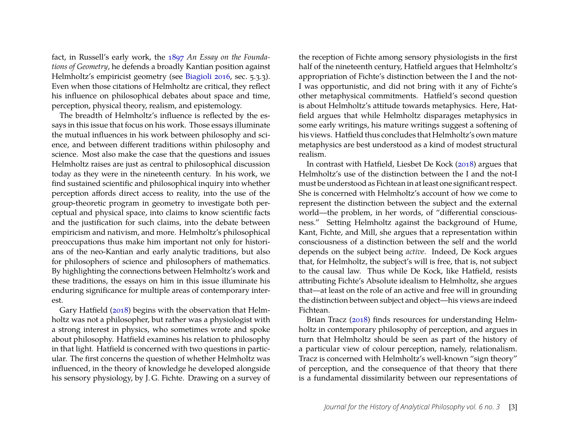fact, in Russell's early work, the [1897](#page-10-10) *An Essay on the Foundations of Geometry*, he defends a broadly Kantian position against Helmholtz's empiricist geometry (see [Biagioli 2016,](#page-9-1) sec. 5.3.3). Even when those citations of Helmholtz are critical, they reflect his influence on philosophical debates about space and time, perception, physical theory, realism, and epistemology.

The breadth of Helmholtz's influence is reflected by the essays in this issue that focus on his work. Those essays illuminate the mutual influences in his work between philosophy and science, and between different traditions within philosophy and science. Most also make the case that the questions and issues Helmholtz raises are just as central to philosophical discussion today as they were in the nineteenth century. In his work, we find sustained scientific and philosophical inquiry into whether perception affords direct access to reality, into the use of the group-theoretic program in geometry to investigate both perceptual and physical space, into claims to know scientific facts and the justification for such claims, into the debate between empiricism and nativism, and more. Helmholtz's philosophical preoccupations thus make him important not only for historians of the neo-Kantian and early analytic traditions, but also for philosophers of science and philosophers of mathematics. By highlighting the connections between Helmholtz's work and these traditions, the essays on him in this issue illuminate his enduring significance for multiple areas of contemporary interest.

Gary Hatfield [\(2018\)](#page-10-8) begins with the observation that Helmholtz was not a philosopher, but rather was a physiologist with a strong interest in physics, who sometimes wrote and spoke about philosophy. Hatfield examines his relation to philosophy in that light. Hatfield is concerned with two questions in particular. The first concerns the question of whether Helmholtz was influenced, in the theory of knowledge he developed alongside his sensory physiology, by J. G. Fichte. Drawing on a survey of

the reception of Fichte among sensory physiologists in the first half of the nineteenth century, Hatfield argues that Helmholtz's appropriation of Fichte's distinction between the I and the not-I was opportunistic, and did not bring with it any of Fichte's other metaphysical commitments. Hatfield's second question is about Helmholtz's attitude towards metaphysics. Here, Hatfield argues that while Helmholtz disparages metaphysics in some early writings, his mature writings suggest a softening of his views. Hatfield thus concludes that Helmholtz's own mature metaphysics are best understood as a kind of modest structural realism.

In contrast with Hatfield, Liesbet De Kock [\(2018\)](#page-9-6) argues that Helmholtz's use of the distinction between the I and the not-I must be understood as Fichtean in at least one significant respect. She is concerned with Helmholtz's account of how we come to represent the distinction between the subject and the external world—the problem, in her words, of "differential consciousness." Setting Helmholtz against the background of Hume, Kant, Fichte, and Mill, she argues that a representation within consciousness of a distinction between the self and the world depends on the subject being *active*. Indeed, De Kock argues that, for Helmholtz, the subject's will is free, that is, not subject to the causal law. Thus while De Kock, like Hatfield, resists attributing Fichte's Absolute idealism to Helmholtz, she argues that—at least on the role of an active and free will in grounding the distinction between subject and object—his views are indeed Fichtean.

Brian Tracz [\(2018\)](#page-10-9) finds resources for understanding Helmholtz in contemporary philosophy of perception, and argues in turn that Helmholtz should be seen as part of the history of a particular view of colour perception, namely, relationalism. Tracz is concerned with Helmholtz's well-known "sign theory" of perception, and the consequence of that theory that there is a fundamental dissimilarity between our representations of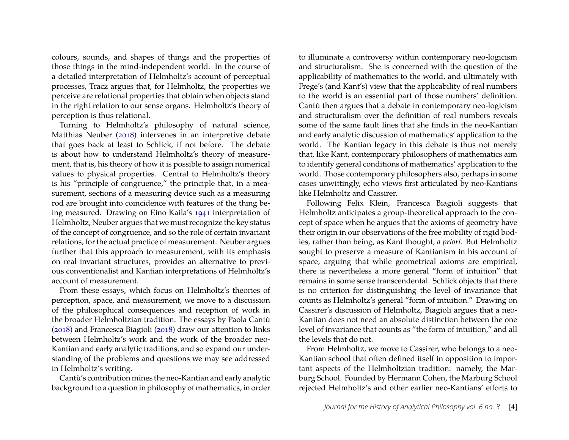colours, sounds, and shapes of things and the properties of those things in the mind-independent world. In the course of a detailed interpretation of Helmholtz's account of perceptual processes, Tracz argues that, for Helmholtz, the properties we perceive are relational properties that obtain when objects stand in the right relation to our sense organs. Helmholtz's theory of perception is thus relational.

Turning to Helmholtz's philosophy of natural science, Matthias Neuber [\(2018\)](#page-10-11) intervenes in an interpretive debate that goes back at least to Schlick, if not before. The debate is about how to understand Helmholtz's theory of measurement, that is, his theory of how it is possible to assign numerical values to physical properties. Central to Helmholtz's theory is his "principle of congruence," the principle that, in a measurement, sections of a measuring device such as a measuring rod are brought into coincidence with features of the thing being measured. Drawing on Eino Kaila's [1941](#page-10-12) interpretation of Helmholtz, Neuber argues that we must recognize the key status of the concept of congruence, and so the role of certain invariant relations, for the actual practice of measurement. Neuber argues further that this approach to measurement, with its emphasis on real invariant structures, provides an alternative to previous conventionalist and Kantian interpretations of Helmholtz's account of measurement.

From these essays, which focus on Helmholtz's theories of perception, space, and measurement, we move to a discussion of the philosophical consequences and reception of work in the broader Helmholtzian tradition. The essays by Paola Cantù [\(2018\)](#page-9-7) and Francesca Biagioli [\(2018\)](#page-9-2) draw our attention to links between Helmholtz's work and the work of the broader neo-Kantian and early analytic traditions, and so expand our understanding of the problems and questions we may see addressed in Helmholtz's writing.

Cantù's contribution mines the neo-Kantian and early analytic background to a question in philosophy of mathematics, in order to illuminate a controversy within contemporary neo-logicism and structuralism. She is concerned with the question of the applicability of mathematics to the world, and ultimately with Frege's (and Kant's) view that the applicability of real numbers to the world is an essential part of those numbers' definition. Cantù then argues that a debate in contemporary neo-logicism and structuralism over the definition of real numbers reveals some of the same fault lines that she finds in the neo-Kantian and early analytic discussion of mathematics' application to the world. The Kantian legacy in this debate is thus not merely that, like Kant, contemporary philosophers of mathematics aim to identify general conditions of mathematics' application to the world. Those contemporary philosophers also, perhaps in some cases unwittingly, echo views first articulated by neo-Kantians like Helmholtz and Cassirer.

Following Felix Klein, Francesca Biagioli suggests that Helmholtz anticipates a group-theoretical approach to the concept of space when he argues that the axioms of geometry have their origin in our observations of the free mobility of rigid bodies, rather than being, as Kant thought, *a priori*. But Helmholtz sought to preserve a measure of Kantianism in his account of space, arguing that while geometrical axioms are empirical, there is nevertheless a more general "form of intuition" that remains in some sense transcendental. Schlick objects that there is no criterion for distinguishing the level of invariance that counts as Helmholtz's general "form of intuition." Drawing on Cassirer's discussion of Helmholtz, Biagioli argues that a neo-Kantian does not need an absolute distinction between the one level of invariance that counts as "the form of intuition," and all the levels that do not.

From Helmholtz, we move to Cassirer, who belongs to a neo-Kantian school that often defined itself in opposition to important aspects of the Helmholtzian tradition: namely, the Marburg School. Founded by Hermann Cohen, the Marburg School rejected Helmholtz's and other earlier neo-Kantians' efforts to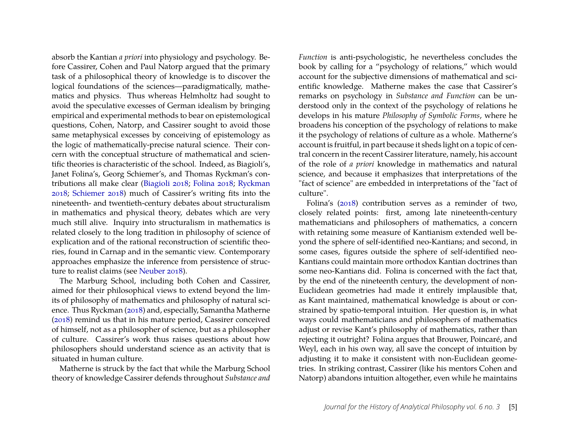absorb the Kantian *a priori* into physiology and psychology. Before Cassirer, Cohen and Paul Natorp argued that the primary task of a philosophical theory of knowledge is to discover the logical foundations of the sciences—paradigmatically, mathematics and physics. Thus whereas Helmholtz had sought to avoid the speculative excesses of German idealism by bringing empirical and experimental methods to bear on epistemological questions, Cohen, Natorp, and Cassirer sought to avoid those same metaphysical excesses by conceiving of epistemology as the logic of mathematically-precise natural science. Their concern with the conceptual structure of mathematical and scientific theories is characteristic of the school. Indeed, as Biagioli's, Janet Folina's, Georg Schiemer's, and Thomas Ryckman's contributions all make clear [\(Biagioli 2018;](#page-9-2) [Folina 2018;](#page-9-8) [Ryckman](#page-10-6) [2018;](#page-10-6) [Schiemer 2018\)](#page-10-5) much of Cassirer's writing fits into the nineteenth- and twentieth-century debates about structuralism in mathematics and physical theory, debates which are very much still alive. Inquiry into structuralism in mathematics is related closely to the long tradition in philosophy of science of explication and of the rational reconstruction of scientific theories, found in Carnap and in the semantic view. Contemporary approaches emphasize the inference from persistence of structure to realist claims (see [Neuber 2018\)](#page-10-11).

The Marburg School, including both Cohen and Cassirer, aimed for their philosophical views to extend beyond the limits of philosophy of mathematics and philosophy of natural science. Thus Ryckman [\(2018\)](#page-10-6) and, especially, Samantha Matherne [\(2018\)](#page-10-13) remind us that in his mature period, Cassirer conceived of himself, not as a philosopher of science, but as a philosopher of culture. Cassirer's work thus raises questions about how philosophers should understand science as an activity that is situated in human culture.

Matherne is struck by the fact that while the Marburg School theory of knowledge Cassirer defends throughout *Substance and* *Function* is anti-psychologistic, he nevertheless concludes the book by calling for a "psychology of relations," which would account for the subjective dimensions of mathematical and scientific knowledge. Matherne makes the case that Cassirer's remarks on psychology in *Substance and Function* can be understood only in the context of the psychology of relations he develops in his mature *Philosophy of Symbolic Forms*, where he broadens his conception of the psychology of relations to make it the psychology of relations of culture as a whole. Matherne's account is fruitful, in part because it sheds light on a topic of central concern in the recent Cassirer literature, namely, his account of the role of *a priori* knowledge in mathematics and natural science, and because it emphasizes that interpretations of the "fact of science" are embedded in interpretations of the "fact of culture".

Folina's [\(2018\)](#page-9-8) contribution serves as a reminder of two, closely related points: first, among late nineteenth-century mathematicians and philosophers of mathematics, a concern with retaining some measure of Kantianism extended well beyond the sphere of self-identified neo-Kantians; and second, in some cases, figures outside the sphere of self-identified neo-Kantians could maintain more orthodox Kantian doctrines than some neo-Kantians did. Folina is concerned with the fact that, by the end of the nineteenth century, the development of non-Euclidean geometries had made it entirely implausible that, as Kant maintained, mathematical knowledge is about or constrained by spatio-temporal intuition. Her question is, in what ways could mathematicians and philosophers of mathematics adjust or revise Kant's philosophy of mathematics, rather than rejecting it outright? Folina argues that Brouwer, Poincaré, and Weyl, each in his own way, all save the concept of intuition by adjusting it to make it consistent with non-Euclidean geometries. In striking contrast, Cassirer (like his mentors Cohen and Natorp) abandons intuition altogether, even while he maintains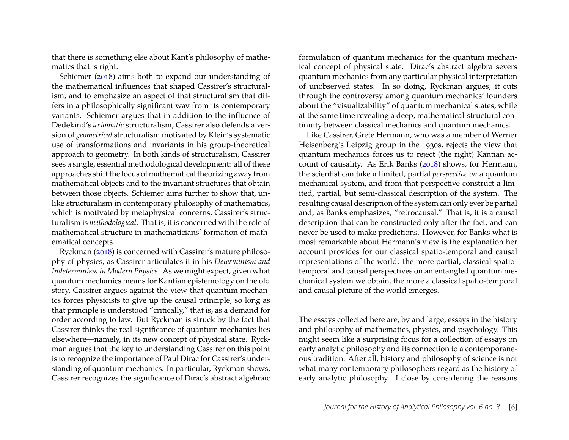that there is something else about Kant's philosophy of mathematics that is right.

Schiemer [\(2018\)](#page-10-5) aims both to expand our understanding of the mathematical influences that shaped Cassirer's structuralism, and to emphasize an aspect of that structuralism that differs in a philosophically significant way from its contemporary variants. Schiemer argues that in addition to the influence of Dedekind's *axiomatic* structuralism, Cassirer also defends a version of *geometrical* structuralism motivated by Klein's systematic use of transformations and invariants in his group-theoretical approach to geometry. In both kinds of structuralism, Cassirer sees a single, essential methodological development: all of these approaches shift the locus of mathematical theorizing away from mathematical objects and to the invariant structures that obtain between those objects. Schiemer aims further to show that, unlike structuralism in contemporary philosophy of mathematics, which is motivated by metaphysical concerns, Cassirer's structuralism is *methodological*. That is, it is concerned with the role of mathematical structure in mathematicians' formation of mathematical concepts.

Ryckman [\(2018\)](#page-10-6) is concerned with Cassirer's mature philosophy of physics, as Cassirer articulates it in his *Determinism and Indeterminism in Modern Physics*. As we might expect, given what quantum mechanics means for Kantian epistemology on the old story, Cassirer argues against the view that quantum mechanics forces physicists to give up the causal principle, so long as that principle is understood "critically," that is, as a demand for order according to law. But Ryckman is struck by the fact that Cassirer thinks the real significance of quantum mechanics lies elsewhere—namely, in its new concept of physical state. Ryckman argues that the key to understanding Cassirer on this point is to recognize the importance of Paul Dirac for Cassirer's understanding of quantum mechanics. In particular, Ryckman shows, Cassirer recognizes the significance of Dirac's abstract algebraic formulation of quantum mechanics for the quantum mechanical concept of physical state. Dirac's abstract algebra severs quantum mechanics from any particular physical interpretation of unobserved states. In so doing, Ryckman argues, it cuts through the controversy among quantum mechanics' founders about the "visualizability" of quantum mechanical states, while at the same time revealing a deep, mathematical-structural continuity between classical mechanics and quantum mechanics.

Like Cassirer, Grete Hermann, who was a member of Werner Heisenberg's Leipzig group in the 1930s, rejects the view that quantum mechanics forces us to reject (the right) Kantian account of causality. As Erik Banks [\(2018\)](#page-9-3) shows, for Hermann, the scientist can take a limited, partial *perspective on* a quantum mechanical system, and from that perspective construct a limited, partial, but semi-classical description of the system. The resulting causal description of the system can only ever be partial and, as Banks emphasizes, "retrocausal." That is, it is a causal description that can be constructed only after the fact, and can never be used to make predictions. However, for Banks what is most remarkable about Hermann's view is the explanation her account provides for our classical spatio-temporal and causal representations of the world: the more partial, classical spatiotemporal and causal perspectives on an entangled quantum mechanical system we obtain, the more a classical spatio-temporal and causal picture of the world emerges.

The essays collected here are, by and large, essays in the history and philosophy of mathematics, physics, and psychology. This might seem like a surprising focus for a collection of essays on early analytic philosophy and its connection to a contemporaneous tradition. After all, history and philosophy of science is not what many contemporary philosophers regard as the history of early analytic philosophy. I close by considering the reasons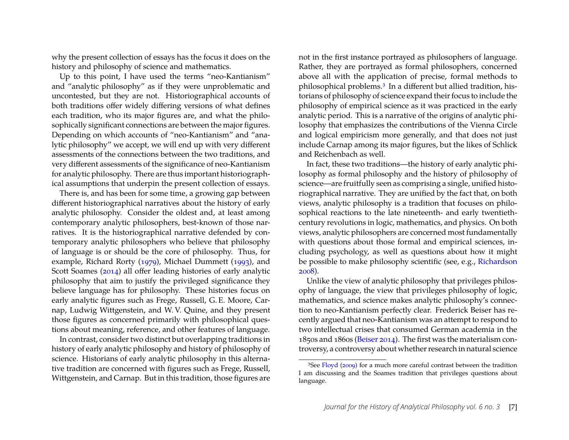why the present collection of essays has the focus it does on the history and philosophy of science and mathematics.

Up to this point, I have used the terms "neo-Kantianism" and "analytic philosophy" as if they were unproblematic and uncontested, but they are not. Historiographical accounts of both traditions offer widely differing versions of what defines each tradition, who its major figures are, and what the philosophically significant connections are between the major figures. Depending on which accounts of "neo-Kantianism" and "analytic philosophy" we accept, we will end up with very different assessments of the connections between the two traditions, and very different assessments of the significance of neo-Kantianism for analytic philosophy. There are thus important historiographical assumptions that underpin the present collection of essays.

There is, and has been for some time, a growing gap between different historiographical narratives about the history of early analytic philosophy. Consider the oldest and, at least among contemporary analytic philosophers, best-known of those narratives. It is the historiographical narrative defended by contemporary analytic philosophers who believe that philosophy of language is or should be the core of philosophy. Thus, for example, Richard Rorty [\(1979\)](#page-10-14), Michael Dummett [\(1993\)](#page-9-9), and Scott Soames [\(2014\)](#page-10-15) all offer leading histories of early analytic philosophy that aim to justify the privileged significance they believe language has for philosophy. These histories focus on early analytic figures such as Frege, Russell, G. E. Moore, Carnap, Ludwig Wittgenstein, and W. V. Quine, and they present those figures as concerned primarily with philosophical questions about meaning, reference, and other features of language.

In contrast, consider two distinct but overlapping traditions in history of early analytic philosophy and history of philosophy of science. Historians of early analytic philosophy in this alternative tradition are concerned with figures such as Frege, Russell, Wittgenstein, and Carnap. But in this tradition, those figures are not in the first instance portrayed as philosophers of language. Rather, they are portrayed as formal philosophers, concerned above all with the application of precise, formal methods to philosophical problems.[3](#page-7-0) In a different but allied tradition, historians of philosophy of science expand their focus to include the philosophy of empirical science as it was practiced in the early analytic period. This is a narrative of the origins of analytic philosophy that emphasizes the contributions of the Vienna Circle and logical empiricism more generally, and that does not just include Carnap among its major figures, but the likes of Schlick and Reichenbach as well.

In fact, these two traditions—the history of early analytic philosophy as formal philosophy and the history of philosophy of science—are fruitfully seen as comprising a single, unified historiographical narrative. They are unified by the fact that, on both views, analytic philosophy is a tradition that focuses on philosophical reactions to the late nineteenth- and early twentiethcentury revolutions in logic, mathematics, and physics. On both views, analytic philosophers are concerned most fundamentally with questions about those formal and empirical sciences, including psychology, as well as questions about how it might be possible to make philosophy scientific (see, e.g., [Richardson](#page-10-16) [2008\)](#page-10-16).

Unlike the view of analytic philosophy that privileges philosophy of language, the view that privileges philosophy of logic, mathematics, and science makes analytic philosophy's connection to neo-Kantianism perfectly clear. Frederick Beiser has recently argued that neo-Kantianism was an attempt to respond to two intellectual crises that consumed German academia in the 1850s and 1860s [\(Beiser 2014\)](#page-9-10). The first was the materialism controversy, a controversy about whether research in natural science

<span id="page-7-0"></span><sup>&</sup>lt;sup>3</sup>See [Floyd](#page-9-11) [\(2009\)](#page-9-11) for a much more careful contrast between the tradition I am discussing and the Soames tradition that privileges questions about language.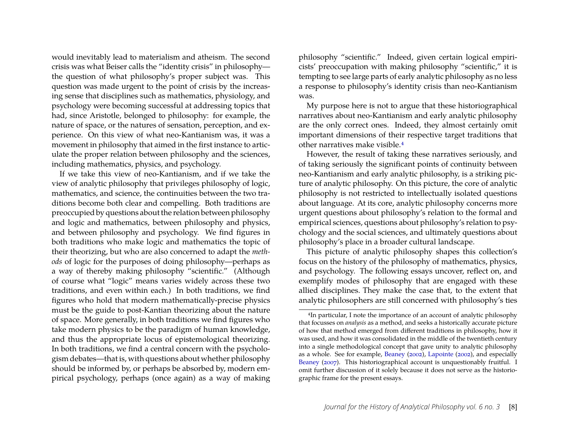would inevitably lead to materialism and atheism. The second crisis was what Beiser calls the "identity crisis" in philosophy the question of what philosophy's proper subject was. This question was made urgent to the point of crisis by the increasing sense that disciplines such as mathematics, physiology, and psychology were becoming successful at addressing topics that had, since Aristotle, belonged to philosophy: for example, the nature of space, or the natures of sensation, perception, and experience. On this view of what neo-Kantianism was, it was a movement in philosophy that aimed in the first instance to articulate the proper relation between philosophy and the sciences, including mathematics, physics, and psychology.

If we take this view of neo-Kantianism, and if we take the view of analytic philosophy that privileges philosophy of logic, mathematics, and science, the continuities between the two traditions become both clear and compelling. Both traditions are preoccupied by questions about the relation between philosophy and logic and mathematics, between philosophy and physics, and between philosophy and psychology. We find figures in both traditions who make logic and mathematics the topic of their theorizing, but who are also concerned to adapt the *methods* of logic for the purposes of doing philosophy—perhaps as a way of thereby making philosophy "scientific." (Although of course what "logic" means varies widely across these two traditions, and even within each.) In both traditions, we find figures who hold that modern mathematically-precise physics must be the guide to post-Kantian theorizing about the nature of space. More generally, in both traditions we find figures who take modern physics to be the paradigm of human knowledge, and thus the appropriate locus of epistemological theorizing. In both traditions, we find a central concern with the psychologism debates—that is, with questions about whether philosophy should be informed by, or perhaps be absorbed by, modern empirical psychology, perhaps (once again) as a way of making philosophy "scientific." Indeed, given certain logical empiricists' preoccupation with making philosophy "scientific," it is tempting to see large parts of early analytic philosophy as no less a response to philosophy's identity crisis than neo-Kantianism was.

My purpose here is not to argue that these historiographical narratives about neo-Kantianism and early analytic philosophy are the only correct ones. Indeed, they almost certainly omit important dimensions of their respective target traditions that other narratives make visible.[4](#page-8-0)

However, the result of taking these narratives seriously, and of taking seriously the significant points of continuity between neo-Kantianism and early analytic philosophy, is a striking picture of analytic philosophy. On this picture, the core of analytic philosophy is not restricted to intellectually isolated questions about language. At its core, analytic philosophy concerns more urgent questions about philosophy's relation to the formal and empirical sciences, questions about philosophy's relation to psychology and the social sciences, and ultimately questions about philosophy's place in a broader cultural landscape.

This picture of analytic philosophy shapes this collection's focus on the history of the philosophy of mathematics, physics, and psychology. The following essays uncover, reflect on, and exemplify modes of philosophy that are engaged with these allied disciplines. They make the case that, to the extent that analytic philosophers are still concerned with philosophy's ties

<span id="page-8-0"></span><sup>4</sup>In particular, I note the importance of an account of analytic philosophy that focusses on *analysis* as a method, and seeks a historically accurate picture of how that method emerged from different traditions in philosophy, how it was used, and how it was consolidated in the middle of the twentieth century into a single methodological concept that gave unity to analytic philosophy as a whole. See for example, [Beaney](#page-9-12) [\(2002\)](#page-9-12), [Lapointe](#page-10-17) [\(2002\)](#page-10-17), and especially [Beaney](#page-9-13) [\(2007\)](#page-9-13). This historiographical account is unquestionably fruitful. I omit further discussion of it solely because it does not serve as the historiographic frame for the present essays.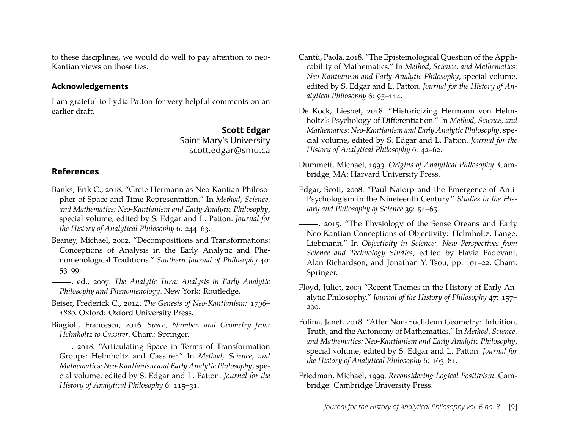to these disciplines, we would do well to pay attention to neo-Kantian views on those ties.

#### **Acknowledgements**

I am grateful to Lydia Patton for very helpful comments on an earlier draft.

> **Scott Edgar** Saint Mary's University scott.edgar@smu.ca

### **References**

- <span id="page-9-3"></span>Banks, Erik C., 2018. "Grete Hermann as Neo-Kantian Philosopher of Space and Time Representation." In *Method, Science, and Mathematics: Neo-Kantianism and Early Analytic Philosophy*, special volume, edited by S. Edgar and L. Patton. *Journal for the History of Analytical Philosophy* 6: 244–63.
- <span id="page-9-12"></span>Beaney, Michael, 2002. "Decompositions and Transformations: Conceptions of Analysis in the Early Analytic and Phenomenological Traditions." *Southern Journal of Philosophy* 40: 53–99.
- <span id="page-9-13"></span>, ed., 2007. *The Analytic Turn: Analysis in Early Analytic Philosophy and Phenomenology*. New York: Routledge.
- <span id="page-9-10"></span>Beiser, Frederick C., 2014. *The Genesis of Neo-Kantianism: 1796– 1880.* Oxford: Oxford University Press.
- <span id="page-9-1"></span>Biagioli, Francesca, 2016. *Space, Number, and Geometry from Helmholtz to Cassirer*. Cham: Springer.

<span id="page-9-2"></span>(2018. "Articulating Space in Terms of Transformation Groups: Helmholtz and Cassirer." In *Method, Science, and Mathematics: Neo-Kantianism and Early Analytic Philosophy*, special volume, edited by S. Edgar and L. Patton. *Journal for the History of Analytical Philosophy* 6: 115–31.

- <span id="page-9-7"></span>Cantù, Paola, 2018. "The Epistemological Question of the Applicability of Mathematics." In *Method, Science, and Mathematics: Neo-Kantianism and Early Analytic Philosophy*, special volume, edited by S. Edgar and L. Patton. *Journal for the History of Analytical Philosophy* 6: 95–114.
- <span id="page-9-6"></span>De Kock, Liesbet, 2018. "Historicizing Hermann von Helmholtz's Psychology of Differentiation." In *Method, Science, and Mathematics: Neo-Kantianism and Early Analytic Philosophy*, special volume, edited by S. Edgar and L. Patton. *Journal for the History of Analytical Philosophy* 6: 42–62.
- <span id="page-9-9"></span>Dummett, Michael, 1993. *Origins of Analytical Philosophy*. Cambridge, MA: Harvard University Press.
- <span id="page-9-4"></span>Edgar, Scott, 2008. "Paul Natorp and the Emergence of Anti-Psychologism in the Nineteenth Century." *Studies in the History and Philosophy of Science* 39: 54–65.
- <span id="page-9-5"></span>-, 2015. "The Physiology of the Sense Organs and Early Neo-Kantian Conceptions of Objectivity: Helmholtz, Lange, Liebmann." In *Objectivity in Science: New Perspectives from Science and Technology Studies*, edited by Flavia Padovani, Alan Richardson, and Jonathan Y. Tsou, pp. 101–22. Cham: Springer.
- <span id="page-9-11"></span>Floyd, Juliet, 2009 "Recent Themes in the History of Early Analytic Philosophy." *Journal of the History of Philosophy* 47: 157– 200.
- <span id="page-9-8"></span>Folina, Janet, 2018. "After Non-Euclidean Geometry: Intuition, Truth, and the Autonomy of Mathematics." In *Method, Science, and Mathematics: Neo-Kantianism and Early Analytic Philosophy*, special volume, edited by S. Edgar and L. Patton. *Journal for the History of Analytical Philosophy* 6: 163–81.
- <span id="page-9-0"></span>Friedman, Michael, 1999. *Reconsidering Logical Positivism*. Cambridge: Cambridge University Press.